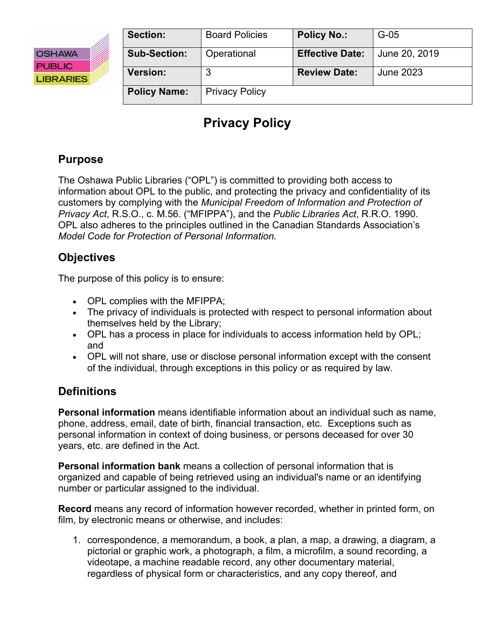

| Section:            | <b>Board Policies</b> | <b>Policy No.:</b>     | $G-05$        |
|---------------------|-----------------------|------------------------|---------------|
| <b>Sub-Section:</b> | Operational           | <b>Effective Date:</b> | June 20, 2019 |
| <b>Version:</b>     |                       | <b>Review Date:</b>    | June 2023     |
| <b>Policy Name:</b> | <b>Privacy Policy</b> |                        |               |

# **Privacy Policy**

# **Purpose**

The Oshawa Public Libraries ("OPL") is committed to providing both access to information about OPL to the public, and protecting the privacy and confidentiality of its customers by complying with the *Municipal Freedom of Information and Protection of Privacy Act*, R.S.O., c. M.56. ("MFIPPA"), and the *Public Libraries Act*, R.R.O. 1990. OPL also adheres to the principles outlined in the Canadian Standards Association's *Model Code for Protection of Personal Information.* 

# **Objectives**

The purpose of this policy is to ensure:

- OPL complies with the MFIPPA;
- The privacy of individuals is protected with respect to personal information about themselves held by the Library;
- OPL has a process in place for individuals to access information held by OPL; and
- OPL will not share, use or disclose personal information except with the consent of the individual, through exceptions in this policy or as required by law.

## **Definitions**

**Personal information** means identifiable information about an individual such as name, phone, address, email, date of birth, financial transaction, etc. Exceptions such as personal information in context of doing business, or persons deceased for over 30 years, etc. are defined in the Act.

**Personal information bank** means a collection of personal information that is organized and capable of being retrieved using an individual's name or an identifying number or particular assigned to the individual.

**Record** means any record of information however recorded, whether in printed form, on film, by electronic means or otherwise, and includes:

1. correspondence, a memorandum, a book, a plan, a map, a drawing, a diagram, a pictorial or graphic work, a photograph, a film, a microfilm, a sound recording, a videotape, a machine readable record, any other documentary material, regardless of physical form or characteristics, and any copy thereof, and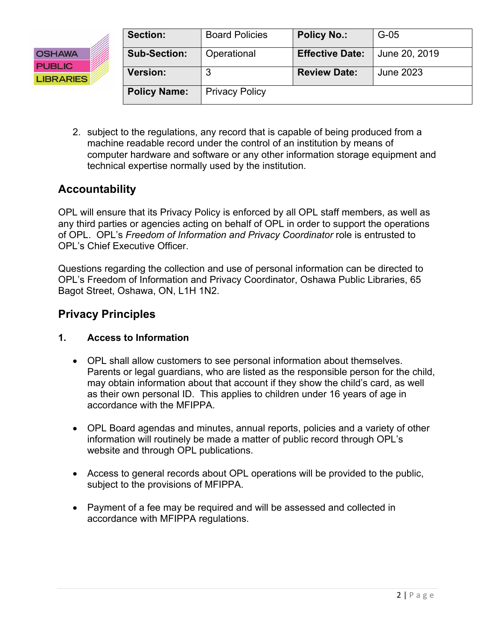

| <b>Section:</b>     | <b>Board Policies</b> | <b>Policy No.:</b>     | $G-05$        |
|---------------------|-----------------------|------------------------|---------------|
| <b>Sub-Section:</b> | Operational           | <b>Effective Date:</b> | June 20, 2019 |
| <b>Version:</b>     | 3                     | <b>Review Date:</b>    | June 2023     |
| <b>Policy Name:</b> | <b>Privacy Policy</b> |                        |               |

2. subject to the regulations, any record that is capable of being produced from a machine readable record under the control of an institution by means of computer hardware and software or any other information storage equipment and technical expertise normally used by the institution.

### **Accountability**

OPL will ensure that its Privacy Policy is enforced by all OPL staff members, as well as any third parties or agencies acting on behalf of OPL in order to support the operations of OPL. OPL's *Freedom of Information and Privacy Coordinator* role is entrusted to OPL's Chief Executive Officer.

Questions regarding the collection and use of personal information can be directed to OPL's Freedom of Information and Privacy Coordinator, Oshawa Public Libraries, 65 Bagot Street, Oshawa, ON, L1H 1N2.

### **Privacy Principles**

#### **1. Access to Information**

- OPL shall allow customers to see personal information about themselves. Parents or legal guardians, who are listed as the responsible person for the child, may obtain information about that account if they show the child's card, as well as their own personal ID. This applies to children under 16 years of age in accordance with the MFIPPA.
- OPL Board agendas and minutes, annual reports, policies and a variety of other information will routinely be made a matter of public record through OPL's website and through OPL publications.
- Access to general records about OPL operations will be provided to the public, subject to the provisions of MFIPPA.
- Payment of a fee may be required and will be assessed and collected in accordance with MFIPPA regulations.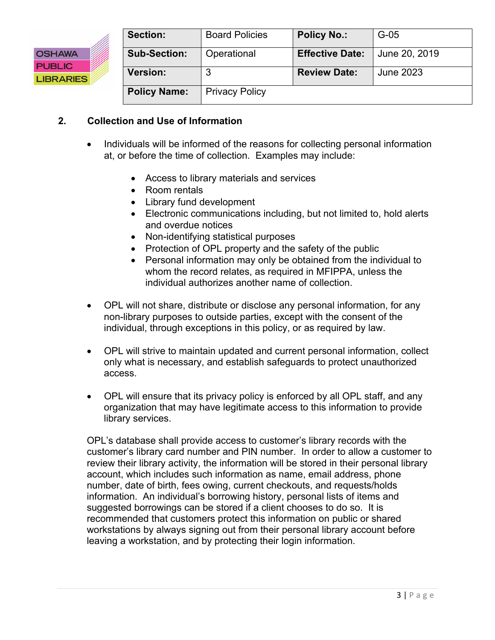

| Section:            | <b>Board Policies</b> | <b>Policy No.:</b>     | $G-05$        |
|---------------------|-----------------------|------------------------|---------------|
| <b>Sub-Section:</b> | Operational           | <b>Effective Date:</b> | June 20, 2019 |
| <b>Version:</b>     | 3                     | <b>Review Date:</b>    | June 2023     |
| <b>Policy Name:</b> | <b>Privacy Policy</b> |                        |               |

#### **2. Collection and Use of Information**

- Individuals will be informed of the reasons for collecting personal information at, or before the time of collection. Examples may include:
	- Access to library materials and services
	- Room rentals
	- Library fund development
	- Electronic communications including, but not limited to, hold alerts and overdue notices
	- Non-identifying statistical purposes
	- Protection of OPL property and the safety of the public
	- Personal information may only be obtained from the individual to whom the record relates, as required in MFIPPA, unless the individual authorizes another name of collection.
- OPL will not share, distribute or disclose any personal information, for any non-library purposes to outside parties, except with the consent of the individual, through exceptions in this policy, or as required by law.
- OPL will strive to maintain updated and current personal information, collect only what is necessary, and establish safeguards to protect unauthorized access.
- OPL will ensure that its privacy policy is enforced by all OPL staff, and any organization that may have legitimate access to this information to provide library services.

OPL's database shall provide access to customer's library records with the customer's library card number and PIN number. In order to allow a customer to review their library activity, the information will be stored in their personal library account, which includes such information as name, email address, phone number, date of birth, fees owing, current checkouts, and requests/holds information. An individual's borrowing history, personal lists of items and suggested borrowings can be stored if a client chooses to do so. It is recommended that customers protect this information on public or shared workstations by always signing out from their personal library account before leaving a workstation, and by protecting their login information.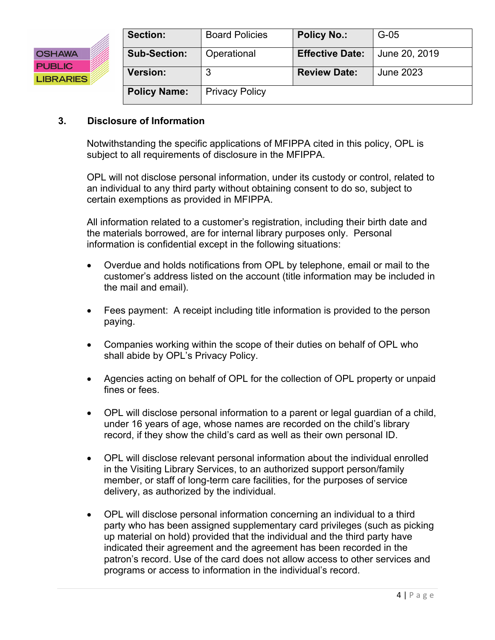

| Section:            | <b>Board Policies</b> | <b>Policy No.:</b>     | $G-05$        |
|---------------------|-----------------------|------------------------|---------------|
| <b>Sub-Section:</b> | Operational           | <b>Effective Date:</b> | June 20, 2019 |
| <b>Version:</b>     | 3                     | <b>Review Date:</b>    | June 2023     |
| <b>Policy Name:</b> | <b>Privacy Policy</b> |                        |               |

#### **3. Disclosure of Information**

Notwithstanding the specific applications of MFIPPA cited in this policy, OPL is subject to all requirements of disclosure in the MFIPPA.

OPL will not disclose personal information, under its custody or control, related to an individual to any third party without obtaining consent to do so, subject to certain exemptions as provided in MFIPPA.

All information related to a customer's registration, including their birth date and the materials borrowed, are for internal library purposes only. Personal information is confidential except in the following situations:

- Overdue and holds notifications from OPL by telephone, email or mail to the customer's address listed on the account (title information may be included in the mail and email).
- Fees payment: A receipt including title information is provided to the person paying.
- Companies working within the scope of their duties on behalf of OPL who shall abide by OPL's Privacy Policy.
- Agencies acting on behalf of OPL for the collection of OPL property or unpaid fines or fees.
- OPL will disclose personal information to a parent or legal guardian of a child, under 16 years of age, whose names are recorded on the child's library record, if they show the child's card as well as their own personal ID.
- OPL will disclose relevant personal information about the individual enrolled in the Visiting Library Services, to an authorized support person/family member, or staff of long-term care facilities, for the purposes of service delivery, as authorized by the individual.
- OPL will disclose personal information concerning an individual to a third party who has been assigned supplementary card privileges (such as picking up material on hold) provided that the individual and the third party have indicated their agreement and the agreement has been recorded in the patron's record. Use of the card does not allow access to other services and programs or access to information in the individual's record.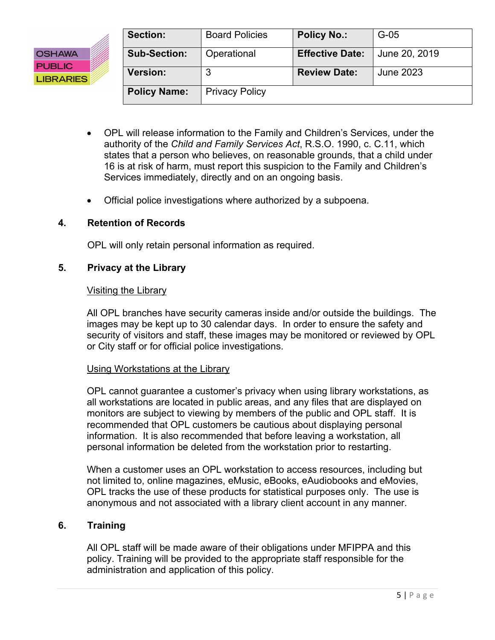

| <b>Section:</b>     | <b>Board Policies</b> | <b>Policy No.:</b>     | $G-05$        |
|---------------------|-----------------------|------------------------|---------------|
| <b>Sub-Section:</b> | Operational           | <b>Effective Date:</b> | June 20, 2019 |
| <b>Version:</b>     | 3                     | <b>Review Date:</b>    | June 2023     |
| <b>Policy Name:</b> | <b>Privacy Policy</b> |                        |               |

- OPL will release information to the Family and Children's Services, under the authority of the *Child and Family Services Act*, R.S.O. 1990, c. C.11, which states that a person who believes, on reasonable grounds, that a child under 16 is at risk of harm, must report this suspicion to the Family and Children's Services immediately, directly and on an ongoing basis.
- Official police investigations where authorized by a subpoena.

#### **4. Retention of Records**

OPL will only retain personal information as required.

#### **5. Privacy at the Library**

#### Visiting the Library

All OPL branches have security cameras inside and/or outside the buildings. The images may be kept up to 30 calendar days. In order to ensure the safety and security of visitors and staff, these images may be monitored or reviewed by OPL or City staff or for official police investigations.

#### Using Workstations at the Library

OPL cannot guarantee a customer's privacy when using library workstations, as all workstations are located in public areas, and any files that are displayed on monitors are subject to viewing by members of the public and OPL staff. It is recommended that OPL customers be cautious about displaying personal information. It is also recommended that before leaving a workstation, all personal information be deleted from the workstation prior to restarting.

When a customer uses an OPL workstation to access resources, including but not limited to, online magazines, eMusic, eBooks, eAudiobooks and eMovies, OPL tracks the use of these products for statistical purposes only. The use is anonymous and not associated with a library client account in any manner.

#### **6. Training**

All OPL staff will be made aware of their obligations under MFIPPA and this policy. Training will be provided to the appropriate staff responsible for the administration and application of this policy.